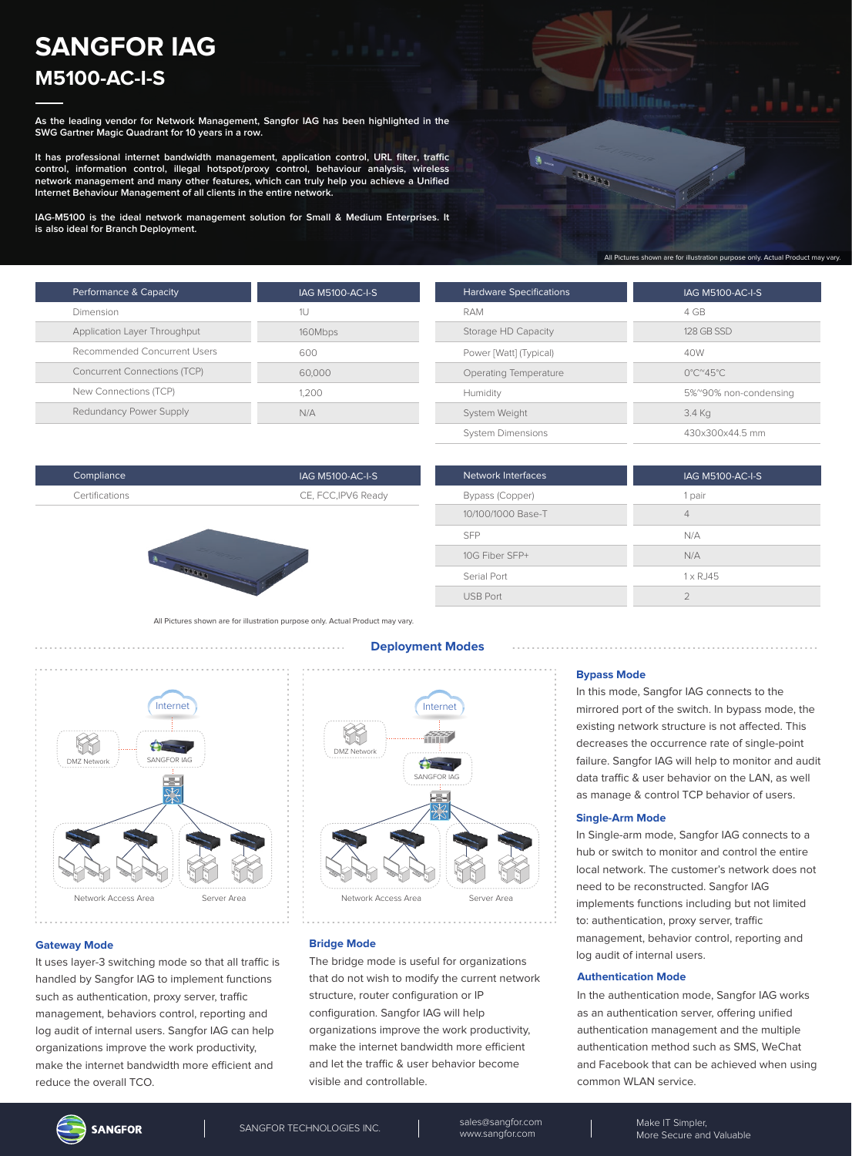# **SANGFOR IAG M5100-AC-I-S**

**As the leading vendor for Network Management, Sangfor IAG has been highlighted in the SWG Gartner Magic Quadrant for 10 years in a row.**

**It has professional internet bandwidth management, application control, URL filter, traffic control, information control, illegal hotspot/proxy control, behaviour analysis, wireless network management and many other features, which can truly help you achieve a Unified Internet Behaviour Management of all clients in the entire network.**

**IAG-M5100 is the ideal network management solution for Small & Medium Enterprises. It is also ideal for Branch Deployment.**

| <b>SPARAD</b> |                                                                                |  |
|---------------|--------------------------------------------------------------------------------|--|
|               |                                                                                |  |
|               | All Pictures shown are for illustration purpose only. Actual Product may vary. |  |

| Performance & Capacity              | <b>IAG M5100-AC-I-S</b> |
|-------------------------------------|-------------------------|
| Dimension                           | 1U                      |
| Application Layer Throughput        | 160Mbps                 |
| Recommended Concurrent Users        | 600                     |
| <b>Concurrent Connections (TCP)</b> | 60,000                  |
| New Connections (TCP)               | 1.200                   |
| Redundancy Power Supply             | N/A                     |

| <b>Hardware Specifications</b> | <b>IAG M5100-AC-I-S</b>                  |
|--------------------------------|------------------------------------------|
| RAM                            | 4 GB                                     |
| Storage HD Capacity            | 128 GB SSD                               |
| Power [Watt] (Typical)         | 40W                                      |
| Operating Temperature          | $0^{\circ}$ C $^{\circ}$ 45 $^{\circ}$ C |
| Humidity                       | 5%~90% non-condensing                    |
| System Weight                  | 3.4 Kg                                   |
| <b>System Dimensions</b>       | 430x300x44.5 mm                          |
|                                |                                          |

| Compliance     | IAG M5100-AC-I-S    |
|----------------|---------------------|
| Certifications | CE, FCC, IPV6 Ready |
|                |                     |



| <b>Network Interfaces</b> | IAG M5100-AC-I-S    |
|---------------------------|---------------------|
| Bypass (Copper)           | 1 pair              |
| 10/100/1000 Base-T        | 4                   |
| <b>SFP</b>                | N/A                 |
| 10G Fiber SFP+            | N/A                 |
| Serial Port               | $1 \times R$ J $45$ |
| <b>USB Port</b>           | 2                   |

All Pictures shown are for illustration purpose only. Actual Product may vary.



# **Deployment Modes**



# **Bypass Mode**

In this mode, Sangfor IAG connects to the mirrored port of the switch. In bypass mode, the existing network structure is not affected. This decreases the occurrence rate of single-point failure. Sangfor IAG will help to monitor and audit data traffic & user behavior on the LAN, as well as manage & control TCP behavior of users.

#### **Single-Arm Mode**

In Single-arm mode, Sangfor IAG connects to a hub or switch to monitor and control the entire local network. The customer's network does not need to be reconstructed. Sangfor IAG implements functions including but not limited to: authentication, proxy server, traffic management, behavior control, reporting and log audit of internal users.

#### **Authentication Mode**

In the authentication mode, Sangfor IAG works as an authentication server, offering unified authentication management and the multiple authentication method such as SMS, WeChat and Facebook that can be achieved when using common WLAN service.

# **Gateway Mode**

It uses layer-3 switching mode so that all traffic is handled by Sangfor IAG to implement functions such as authentication, proxy server, traffic management, behaviors control, reporting and log audit of internal users. Sangfor IAG can help organizations improve the work productivity, make the internet bandwidth more efficient and reduce the overall TCO.

# **Bridge Mode**

The bridge mode is useful for organizations that do not wish to modify the current network structure, router configuration or IP configuration. Sangfor IAG will help organizations improve the work productivity, make the internet bandwidth more efficient and let the traffic & user behavior become visible and controllable.

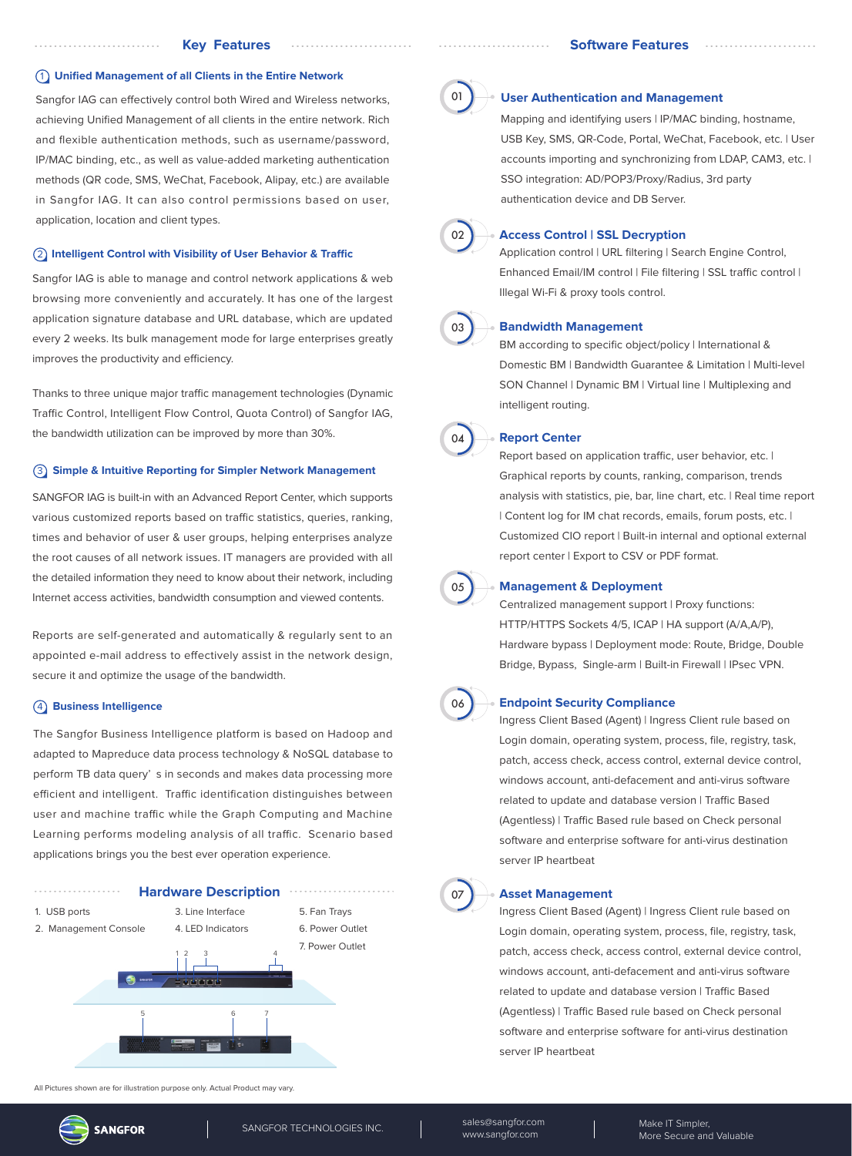#### 1 **Unified Management of all Clients in the Entire Network**

Sangfor IAG can effectively control both Wired and Wireless networks, achieving Unified Management of all clients in the entire network. Rich and flexible authentication methods, such as username/password, IP/MAC binding, etc., as well as value-added marketing authentication methods (QR code, SMS, WeChat, Facebook, Alipay, etc.) are available in Sangfor IAG. It can also control permissions based on user, application, location and client types.

#### **(2) Intelligent Control with Visibility of User Behavior & Traffic**

Sangfor IAG is able to manage and control network applications & web browsing more conveniently and accurately. It has one of the largest application signature database and URL database, which are updated every 2 weeks. Its bulk management mode for large enterprises greatly improves the productivity and efficiency.

Thanks to three unique major traffic management technologies (Dynamic Traffic Control, Intelligent Flow Control, Quota Control) of Sangfor IAG, the bandwidth utilization can be improved by more than 30%.

# 3 **Simple & Intuitive Reporting for Simpler Network Management**

SANGFOR IAG is built-in with an Advanced Report Center, which supports various customized reports based on traffic statistics, queries, ranking, times and behavior of user & user groups, helping enterprises analyze the root causes of all network issues. IT managers are provided with all the detailed information they need to know about their network, including Internet access activities, bandwidth consumption and viewed contents.

Reports are self-generated and automatically & regularly sent to an appointed e-mail address to effectively assist in the network design, secure it and optimize the usage of the bandwidth.

# 4 **Business Intelligence**

The Sangfor Business Intelligence platform is based on Hadoop and adapted to Mapreduce data process technology & NoSQL database to perform TB data query' s in seconds and makes data processing more efficient and intelligent. Traffic identification distinguishes between user and machine traffic while the Graph Computing and Machine Learning performs modeling analysis of all traffic. Scenario based applications brings you the best ever operation experience.



All Pictures shown are for illustration purpose only. Actual Product may vary.





#### **User Authentication and Management**

Mapping and identifying users | IP/MAC binding, hostname, USB Key, SMS, QR-Code, Portal, WeChat, Facebook, etc. | User accounts importing and synchronizing from LDAP, CAM3, etc. | SSO integration: AD/POP3/Proxy/Radius, 3rd party authentication device and DB Server.



# **Access Control | SSL Decryption**

Application control | URL filtering | Search Engine Control, Enhanced Email/IM control | File filtering | SSL traffic control | Illegal Wi-Fi & proxy tools control.



# **Bandwidth Management**

BM according to specific object/policy | International & Domestic BM | Bandwidth Guarantee & Limitation | Multi-level SON Channel | Dynamic BM | Virtual line | Multiplexing and intelligent routing.



#### **Report Center**

Report based on application traffic, user behavior, etc. | Graphical reports by counts, ranking, comparison, trends analysis with statistics, pie, bar, line chart, etc. | Real time report | Content log for IM chat records, emails, forum posts, etc. | Customized CIO report | Built-in internal and optional external report center | Export to CSV or PDF format.



#### **Management & Deployment**

Centralized management support | Proxy functions: HTTP/HTTPS Sockets 4/5, ICAP | HA support (A/A,A/P), Hardware bypass | Deployment mode: Route, Bridge, Double Bridge, Bypass, Single-arm | Built-in Firewall | IPsec VPN.



07

#### **Endpoint Security Compliance**

Ingress Client Based (Agent) | Ingress Client rule based on Login domain, operating system, process, file, registry, task, patch, access check, access control, external device control, windows account, anti-defacement and anti-virus software related to update and database version | Traffic Based (Agentless) | Traffic Based rule based on Check personal software and enterprise software for anti-virus destination server IP heartbeat

#### **Asset Management**

Ingress Client Based (Agent) | Ingress Client rule based on Login domain, operating system, process, file, registry, task, patch, access check, access control, external device control, windows account, anti-defacement and anti-virus software related to undate and database version | Traffic Based (Agentless) | Traffic Based rule based on Check personal software and enterprise software for anti-virus destination server IP heartbeat